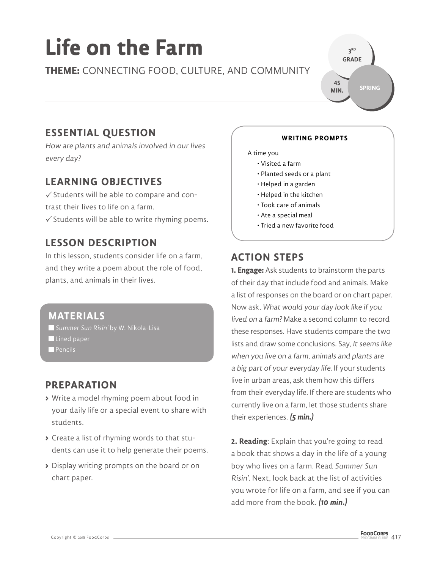# **Life on the Farm**

**THEME:** CONNECTING FOOD, CULTURE, AND COMMUNITY



# **ESSENTIAL QUESTION**

How are plants and animals involved in our lives every day?

# **LEARNING OBJECTIVES**

 $\checkmark$  Students will be able to compare and contrast their lives to life on a farm.

 $\checkmark$  Students will be able to write rhyming poems.

# **LESSON DESCRIPTION**

In this lesson, students consider life on a farm, and they write a poem about the role of food, plants, and animals in their lives.

### **MATERIALS**

Summer Sun Risin' by W. Nikola-Lisa Lined paper

 $\blacksquare$  Pencils

### **PREPARATION**

- **>** Write a model rhyming poem about food in your daily life or a special event to share with students.
- **>** Create a list of rhyming words to that students can use it to help generate their poems.
- **>** Display writing prompts on the board or on chart paper.

### **WRITING PROMPTS**

#### J A time you  $\overline{\phantom{a}}$

- Visited a farm
- Planted seeds or a plant
- Helped in a garden
- Helped in the kitchen
- Took care of animals
- Ate a special meal
- Tried a new favorite food

# **ACTION STEPS**

**1. Engage:** Ask students to brainstorm the parts of their day that include food and animals. Make a list of responses on the board or on chart paper. Now ask, What would your day look like if you lived on a farm? Make a second column to record these responses. Have students compare the two lists and draw some conclusions. Say, It seems like when you live on a farm, animals and plants are a big part of your everyday life. If your students live in urban areas, ask them how this differs from their everyday life. If there are students who currently live on a farm, let those students share their experiences. **(5 min.)**

**2. Reading**: Explain that you're going to read a book that shows a day in the life of a young boy who lives on a farm. Read Summer Sun Risin'. Next, look back at the list of activities you wrote for life on a farm, and see if you can add more from the book. **(10 min.)**